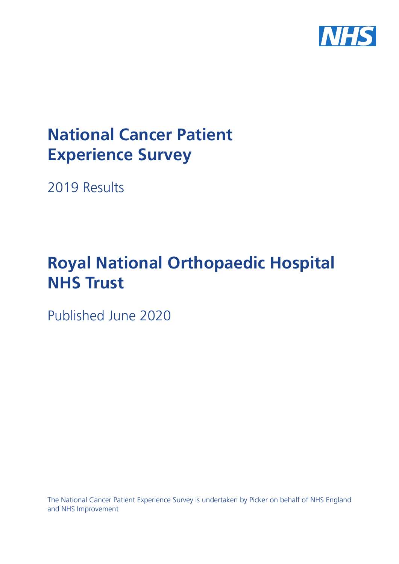

# **National Cancer Patient Experience Survey**

2019 Results

# **Royal National Orthopaedic Hospital NHS Trust**

Published June 2020

The National Cancer Patient Experience Survey is undertaken by Picker on behalf of NHS England and NHS Improvement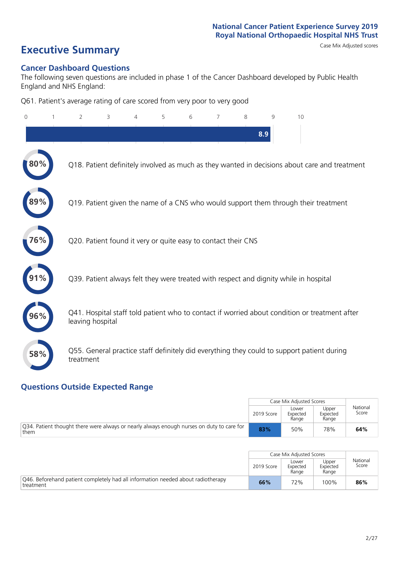# **Executive Summary** Case Mix Adjusted scores

### **Cancer Dashboard Questions**

The following seven questions are included in phase 1 of the Cancer Dashboard developed by Public Health England and NHS England:

Q61. Patient's average rating of care scored from very poor to very good

| 0      | $\overline{2}$                                                | 3 | $\overline{4}$ | 5 | 6 | 7 | 8 | 9   | 10                                                                                            |  |
|--------|---------------------------------------------------------------|---|----------------|---|---|---|---|-----|-----------------------------------------------------------------------------------------------|--|
|        |                                                               |   |                |   |   |   |   | 8.9 |                                                                                               |  |
| $80\%$ |                                                               |   |                |   |   |   |   |     | Q18. Patient definitely involved as much as they wanted in decisions about care and treatment |  |
|        |                                                               |   |                |   |   |   |   |     | Q19. Patient given the name of a CNS who would support them through their treatment           |  |
| 76%    | Q20. Patient found it very or quite easy to contact their CNS |   |                |   |   |   |   |     |                                                                                               |  |
|        |                                                               |   |                |   |   |   |   |     | Q39. Patient always felt they were treated with respect and dignity while in hospital         |  |
| 96%    | leaving hospital                                              |   |                |   |   |   |   |     | Q41. Hospital staff told patient who to contact if worried about condition or treatment after |  |
| 58%    | treatment                                                     |   |                |   |   |   |   |     | Q55. General practice staff definitely did everything they could to support patient during    |  |

### **Questions Outside Expected Range**

|                                                                                                   |            | Case Mix Adjusted Scores   |                            |                   |
|---------------------------------------------------------------------------------------------------|------------|----------------------------|----------------------------|-------------------|
|                                                                                                   | 2019 Score | Lower<br>Expected<br>Range | Upper<br>Expected<br>Range | National<br>Score |
| Q34. Patient thought there were always or nearly always enough nurses on duty to care for<br>them | 83%        | 50%                        | 78%                        | 64%               |

|                                                                                               |            | Case Mix Adjusted Scores   |                            |                   |
|-----------------------------------------------------------------------------------------------|------------|----------------------------|----------------------------|-------------------|
|                                                                                               | 2019 Score | Lower<br>Expected<br>Range | Upper<br>Expected<br>Range | National<br>Score |
| Q46. Beforehand patient completely had all information needed about radiotherapy<br>treatment | 66%        | 72%                        | 100%                       | 86%               |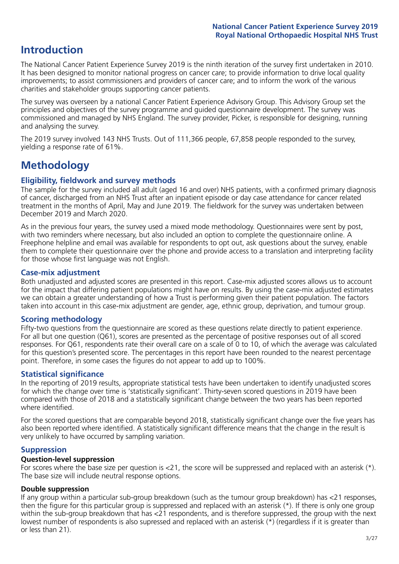## **Introduction**

The National Cancer Patient Experience Survey 2019 is the ninth iteration of the survey first undertaken in 2010. It has been designed to monitor national progress on cancer care; to provide information to drive local quality improvements; to assist commissioners and providers of cancer care; and to inform the work of the various charities and stakeholder groups supporting cancer patients.

The survey was overseen by a national Cancer Patient Experience Advisory Group. This Advisory Group set the principles and objectives of the survey programme and guided questionnaire development. The survey was commissioned and managed by NHS England. The survey provider, Picker, is responsible for designing, running and analysing the survey.

The 2019 survey involved 143 NHS Trusts. Out of 111,366 people, 67,858 people responded to the survey, yielding a response rate of 61%.

# **Methodology**

### **Eligibility, eldwork and survey methods**

The sample for the survey included all adult (aged 16 and over) NHS patients, with a confirmed primary diagnosis of cancer, discharged from an NHS Trust after an inpatient episode or day case attendance for cancer related treatment in the months of April, May and June 2019. The fieldwork for the survey was undertaken between December 2019 and March 2020.

As in the previous four years, the survey used a mixed mode methodology. Questionnaires were sent by post, with two reminders where necessary, but also included an option to complete the questionnaire online. A Freephone helpline and email was available for respondents to opt out, ask questions about the survey, enable them to complete their questionnaire over the phone and provide access to a translation and interpreting facility for those whose first language was not English.

### **Case-mix adjustment**

Both unadjusted and adjusted scores are presented in this report. Case-mix adjusted scores allows us to account for the impact that differing patient populations might have on results. By using the case-mix adjusted estimates we can obtain a greater understanding of how a Trust is performing given their patient population. The factors taken into account in this case-mix adjustment are gender, age, ethnic group, deprivation, and tumour group.

### **Scoring methodology**

Fifty-two questions from the questionnaire are scored as these questions relate directly to patient experience. For all but one question (Q61), scores are presented as the percentage of positive responses out of all scored responses. For Q61, respondents rate their overall care on a scale of 0 to 10, of which the average was calculated for this question's presented score. The percentages in this report have been rounded to the nearest percentage point. Therefore, in some cases the figures do not appear to add up to 100%.

### **Statistical significance**

In the reporting of 2019 results, appropriate statistical tests have been undertaken to identify unadjusted scores for which the change over time is 'statistically significant'. Thirty-seven scored questions in 2019 have been compared with those of 2018 and a statistically significant change between the two years has been reported where identified.

For the scored questions that are comparable beyond 2018, statistically significant change over the five years has also been reported where identified. A statistically significant difference means that the change in the result is very unlikely to have occurred by sampling variation.

### **Suppression**

### **Question-level suppression**

For scores where the base size per question is  $<$ 21, the score will be suppressed and replaced with an asterisk (\*). The base size will include neutral response options.

### **Double suppression**

If any group within a particular sub-group breakdown (such as the tumour group breakdown) has <21 responses, then the figure for this particular group is suppressed and replaced with an asterisk (\*). If there is only one group within the sub-group breakdown that has <21 respondents, and is therefore suppressed, the group with the next lowest number of respondents is also supressed and replaced with an asterisk (\*) (regardless if it is greater than or less than 21).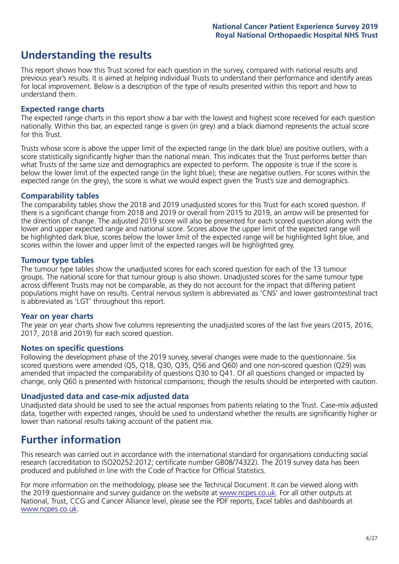## **Understanding the results**

This report shows how this Trust scored for each question in the survey, compared with national results and previous year's results. It is aimed at helping individual Trusts to understand their performance and identify areas for local improvement. Below is a description of the type of results presented within this report and how to understand them.

### **Expected range charts**

The expected range charts in this report show a bar with the lowest and highest score received for each question nationally. Within this bar, an expected range is given (in grey) and a black diamond represents the actual score for this Trust.

Trusts whose score is above the upper limit of the expected range (in the dark blue) are positive outliers, with a score statistically significantly higher than the national mean. This indicates that the Trust performs better than what Trusts of the same size and demographics are expected to perform. The opposite is true if the score is below the lower limit of the expected range (in the light blue); these are negative outliers. For scores within the expected range (in the grey), the score is what we would expect given the Trust's size and demographics.

### **Comparability tables**

The comparability tables show the 2018 and 2019 unadjusted scores for this Trust for each scored question. If there is a significant change from 2018 and 2019 or overall from 2015 to 2019, an arrow will be presented for the direction of change. The adjusted 2019 score will also be presented for each scored question along with the lower and upper expected range and national score. Scores above the upper limit of the expected range will be highlighted dark blue, scores below the lower limit of the expected range will be highlighted light blue, and scores within the lower and upper limit of the expected ranges will be highlighted grey.

### **Tumour type tables**

The tumour type tables show the unadjusted scores for each scored question for each of the 13 tumour groups. The national score for that tumour group is also shown. Unadjusted scores for the same tumour type across different Trusts may not be comparable, as they do not account for the impact that differing patient populations might have on results. Central nervous system is abbreviated as 'CNS' and lower gastrointestinal tract is abbreviated as 'LGT' throughout this report.

### **Year on year charts**

The year on year charts show five columns representing the unadjusted scores of the last five years (2015, 2016, 2017, 2018 and 2019) for each scored question.

### **Notes on specific questions**

Following the development phase of the 2019 survey, several changes were made to the questionnaire. Six scored questions were amended (Q5, Q18, Q30, Q35, Q56 and Q60) and one non-scored question (Q29) was amended that impacted the comparability of questions Q30 to Q41. Of all questions changed or impacted by change, only Q60 is presented with historical comparisons; though the results should be interpreted with caution.

### **Unadjusted data and case-mix adjusted data**

Unadjusted data should be used to see the actual responses from patients relating to the Trust. Case-mix adjusted data, together with expected ranges, should be used to understand whether the results are significantly higher or lower than national results taking account of the patient mix.

### **Further information**

This research was carried out in accordance with the international standard for organisations conducting social research (accreditation to ISO20252:2012; certificate number GB08/74322). The 2019 survey data has been produced and published in line with the Code of Practice for Official Statistics.

For more information on the methodology, please see the Technical Document. It can be viewed along with the 2019 questionnaire and survey quidance on the website at [www.ncpes.co.uk](https://www.ncpes.co.uk/supporting-documents). For all other outputs at National, Trust, CCG and Cancer Alliance level, please see the PDF reports, Excel tables and dashboards at [www.ncpes.co.uk.](https://www.ncpes.co.uk/current-results)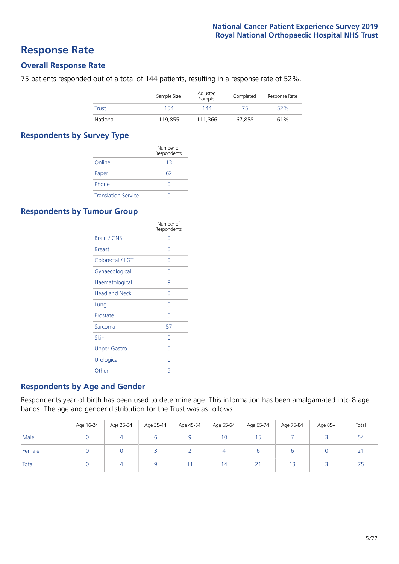### **Response Rate**

### **Overall Response Rate**

75 patients responded out of a total of 144 patients, resulting in a response rate of 52%.

|              | Sample Size | Adjusted<br>Sample | Completed | Response Rate |
|--------------|-------------|--------------------|-----------|---------------|
| <b>Trust</b> | 154         | 144                | 75        | 52%           |
| National     | 119,855     | 111,366            | 67.858    | 61%           |

### **Respondents by Survey Type**

|                            | Number of<br>Respondents |
|----------------------------|--------------------------|
| Online                     | 13                       |
| Paper                      | 62                       |
| Phone                      | 0                        |
| <b>Translation Service</b> |                          |

### **Respondents by Tumour Group**

|                      | Number of<br>Respondents |
|----------------------|--------------------------|
| <b>Brain / CNS</b>   | ∩                        |
| <b>Breast</b>        | Ω                        |
| Colorectal / LGT     | 0                        |
| Gynaecological       | 0                        |
| Haematological       | 9                        |
| <b>Head and Neck</b> | Ω                        |
| Lung                 | Ω                        |
| Prostate             | Ω                        |
| Sarcoma              | 57                       |
| Skin                 | Ω                        |
| <b>Upper Gastro</b>  | Ω                        |
| Urological           | Ω                        |
| Other                | q                        |

### **Respondents by Age and Gender**

Respondents year of birth has been used to determine age. This information has been amalgamated into 8 age bands. The age and gender distribution for the Trust was as follows:

|        | Age 16-24 | Age 25-34 | Age 35-44 | Age 45-54 | Age 55-64 | Age 65-74    | Age 75-84 | Age 85+ | Total    |
|--------|-----------|-----------|-----------|-----------|-----------|--------------|-----------|---------|----------|
| Male   |           |           |           |           | 10        | 15           |           |         | 54       |
| Female |           |           |           |           |           |              | $\circ$   |         | <u>_</u> |
| Total  |           |           |           |           | 14        | $2^{\prime}$ |           |         |          |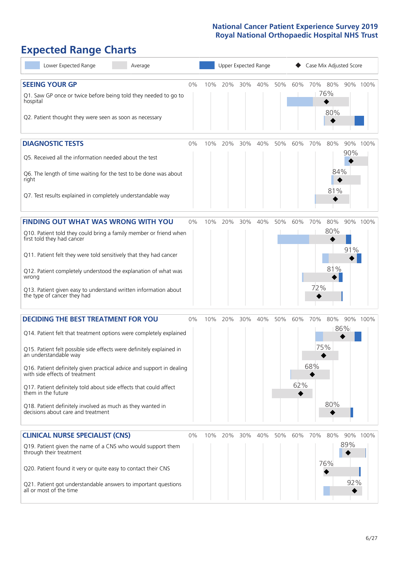# **Expected Range Charts**

| Lower Expected Range<br>Average                                                                                                                                                                                                                                                                                                                                                                                                                                                                                             |       |     | Upper Expected Range |     |     |     |            | Case Mix Adjusted Score |                       |            |          |
|-----------------------------------------------------------------------------------------------------------------------------------------------------------------------------------------------------------------------------------------------------------------------------------------------------------------------------------------------------------------------------------------------------------------------------------------------------------------------------------------------------------------------------|-------|-----|----------------------|-----|-----|-----|------------|-------------------------|-----------------------|------------|----------|
| <b>SEEING YOUR GP</b><br>Q1. Saw GP once or twice before being told they needed to go to<br>hospital<br>Q2. Patient thought they were seen as soon as necessary                                                                                                                                                                                                                                                                                                                                                             | $0\%$ | 10% | 20%                  | 30% | 40% | 50% | 60%        |                         | 70% 80%<br>76%<br>80% |            | 90% 100% |
| <b>DIAGNOSTIC TESTS</b><br>Q5. Received all the information needed about the test<br>Q6. The length of time waiting for the test to be done was about<br>right<br>Q7. Test results explained in completely understandable way                                                                                                                                                                                                                                                                                               | 0%    | 10% | 20%                  | 30% | 40% | 50% | 60%        | 70%                     | 80%<br>84%<br>81%     | 90%        | 90% 100% |
| <b>FINDING OUT WHAT WAS WRONG WITH YOU</b><br>Q10. Patient told they could bring a family member or friend when<br>first told they had cancer<br>Q11. Patient felt they were told sensitively that they had cancer<br>Q12. Patient completely understood the explanation of what was<br>wrong<br>Q13. Patient given easy to understand written information about<br>the type of cancer they had                                                                                                                             | 0%    | 10% | 20%                  | 30% | 40% | 50% | 60%        | 70%<br>72%              | 80%<br>80%<br>81%     | 91%        | 90% 100% |
| <b>DECIDING THE BEST TREATMENT FOR YOU</b><br>Q14. Patient felt that treatment options were completely explained<br>Q15. Patient felt possible side effects were definitely explained in<br>an understandable way<br>Q16. Patient definitely given practical advice and support in dealing<br>with side effects of treatment<br>Q17. Patient definitely told about side effects that could affect<br>them in the future<br>Q18. Patient definitely involved as much as they wanted in<br>decisions about care and treatment | $0\%$ | 10% | 20%                  | 30% | 40% | 50% | 60%<br>62% | 70%<br>75%<br>68%       | 80%<br>80%            | 86%        | 90% 100% |
| <b>CLINICAL NURSE SPECIALIST (CNS)</b><br>Q19. Patient given the name of a CNS who would support them<br>through their treatment<br>Q20. Patient found it very or quite easy to contact their CNS<br>Q21. Patient got understandable answers to important questions<br>all or most of the time                                                                                                                                                                                                                              | 0%    | 10% | 20%                  | 30% | 40% | 50% | 60%        | 70%                     | 80%<br>76%            | 89%<br>92% | 90% 100% |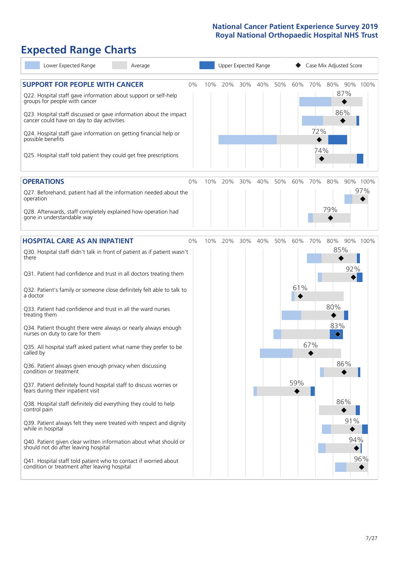# **Expected Range Charts**

| Lower Expected Range<br>Average                                                                                                                                                                                                                                                                                                                                                                                                                                                                                                                      |    |     |     | Upper Expected Range |     |     |            |                   | Case Mix Adjusted Score |                   |
|------------------------------------------------------------------------------------------------------------------------------------------------------------------------------------------------------------------------------------------------------------------------------------------------------------------------------------------------------------------------------------------------------------------------------------------------------------------------------------------------------------------------------------------------------|----|-----|-----|----------------------|-----|-----|------------|-------------------|-------------------------|-------------------|
| <b>SUPPORT FOR PEOPLE WITH CANCER</b><br>Q22. Hospital staff gave information about support or self-help<br>groups for people with cancer<br>Q23. Hospital staff discussed or gave information about the impact<br>cancer could have on day to day activities<br>Q24. Hospital staff gave information on getting financial help or<br>possible benefits<br>Q25. Hospital staff told patient they could get free prescriptions                                                                                                                        | 0% | 10% | 20% | 30%                  | 40% | 50% | 60%        | 70%<br>72%<br>74% | 80%<br>87%<br>86%       | 90% 100%          |
| <b>OPERATIONS</b><br>Q27. Beforehand, patient had all the information needed about the<br>operation<br>Q28. Afterwards, staff completely explained how operation had<br>gone in understandable way                                                                                                                                                                                                                                                                                                                                                   | 0% | 10% | 20% | 30%                  | 40% | 50% | 60%        | 70%               | 80%<br>79%              | 90% 100%<br>97%   |
| <b>HOSPITAL CARE AS AN INPATIENT</b><br>Q30. Hospital staff didn't talk in front of patient as if patient wasn't<br>there<br>Q31. Patient had confidence and trust in all doctors treating them<br>Q32. Patient's family or someone close definitely felt able to talk to<br>a doctor                                                                                                                                                                                                                                                                | 0% | 10% | 20% | 30%                  | 40% | 50% | 60%<br>61% | 70%               | 80%<br>85%              | 90% 100%<br>92%   |
| Q33. Patient had confidence and trust in all the ward nurses<br>treating them<br>Q34. Patient thought there were always or nearly always enough<br>nurses on duty to care for them<br>Q35. All hospital staff asked patient what name they prefer to be<br>called by<br>Q36. Patient always given enough privacy when discussing                                                                                                                                                                                                                     |    |     |     |                      |     |     |            | 67%               | 80%<br>83%<br>♦<br>86%  |                   |
| condition or treatment<br>Q37. Patient definitely found hospital staff to discuss worries or<br>fears during their inpatient visit<br>Q38. Hospital staff definitely did everything they could to help<br>control pain<br>Q39. Patient always felt they were treated with respect and dignity<br>while in hospital<br>Q40. Patient given clear written information about what should or<br>should not do after leaving hospital<br>Q41. Hospital staff told patient who to contact if worried about<br>condition or treatment after leaving hospital |    |     |     |                      |     |     | 59%        |                   | 86%                     | 91%<br>94%<br>96% |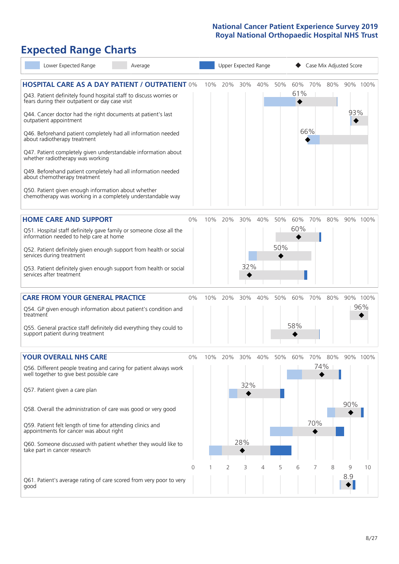# **Expected Range Charts**

|           | Lower Expected Range                                                                                                                                                                                                                                | Average                                                                                                                                                                                                                                                                                                                                                                                                                                                        |       |     | Upper Expected Range |            |         |            |            |                   |     | Case Mix Adjusted Score |                 |
|-----------|-----------------------------------------------------------------------------------------------------------------------------------------------------------------------------------------------------------------------------------------------------|----------------------------------------------------------------------------------------------------------------------------------------------------------------------------------------------------------------------------------------------------------------------------------------------------------------------------------------------------------------------------------------------------------------------------------------------------------------|-------|-----|----------------------|------------|---------|------------|------------|-------------------|-----|-------------------------|-----------------|
|           | fears during their outpatient or day case visit<br>outpatient appointment<br>about radiotherapy treatment<br>whether radiotherapy was working<br>about chemotherapy treatment<br>Q50. Patient given enough information about whether                | <b>HOSPITAL CARE AS A DAY PATIENT / OUTPATIENT 0%</b><br>Q43. Patient definitely found hospital staff to discuss worries or<br>Q44. Cancer doctor had the right documents at patient's last<br>Q46. Beforehand patient completely had all information needed<br>Q47. Patient completely given understandable information about<br>Q49. Beforehand patient completely had all information needed<br>chemotherapy was working in a completely understandable way |       | 10% | 20%                  | 30%        | 40%     | 50%        | 60%<br>61% | 70%<br>66%        | 80% | 93%                     | 90% 100%        |
|           | <b>HOME CARE AND SUPPORT</b><br>information needed to help care at home<br>services during treatment<br>services after treatment                                                                                                                    | Q51. Hospital staff definitely gave family or someone close all the<br>Q52. Patient definitely given enough support from health or social<br>Q53. Patient definitely given enough support from health or social                                                                                                                                                                                                                                                | 0%    | 10% | 20%                  | 30%<br>32% | 40%     | 50%<br>50% | 60%<br>60% | 70%               | 80% |                         | 90% 100%        |
| treatment | <b>CARE FROM YOUR GENERAL PRACTICE</b><br>support patient during treatment                                                                                                                                                                          | Q54. GP given enough information about patient's condition and<br>Q55. General practice staff definitely did everything they could to                                                                                                                                                                                                                                                                                                                          | 0%    | 10% | 20%                  | 30%        | 40%     | 50%        | 60%<br>58% | 70%               | 80% |                         | 90% 100%<br>96% |
|           | <b>YOUR OVERALL NHS CARE</b><br>well together to give best possible care<br>Q57. Patient given a care plan<br>Q59. Patient felt length of time for attending clinics and<br>appointments for cancer was about right<br>take part in cancer research | Q56. Different people treating and caring for patient always work<br>Q58. Overall the administration of care was good or very good<br>Q60. Someone discussed with patient whether they would like to                                                                                                                                                                                                                                                           | $0\%$ | 10% | 20%                  | 32%<br>28% | 30% 40% | 50%        | 60%        | 70%<br>74%<br>70% | 80% | 90%                     | 90% 100%        |
| good      |                                                                                                                                                                                                                                                     | Q61. Patient's average rating of care scored from very poor to very                                                                                                                                                                                                                                                                                                                                                                                            | 0     |     | 2                    | 3          | 4       | 5          | 6          |                   | 8   | 9<br>8.9                | 10              |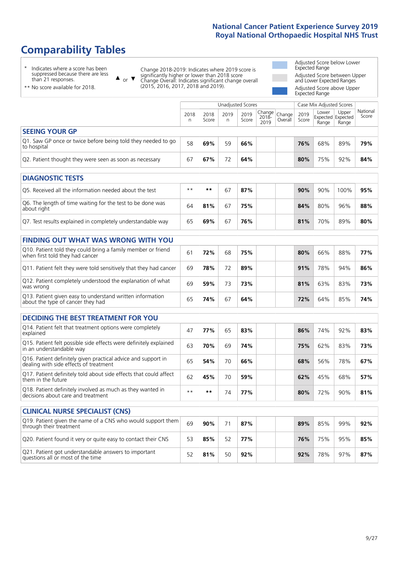# **Comparability Tables**

\* Indicates where a score has been suppressed because there are less than 21 responses.

\*\* No score available for 2018.

 $\triangle$  or  $\nabla$ 

Change 2018-2019: Indicates where 2019 score is significantly higher or lower than 2018 score Change Overall: Indicates significant change overall (2015, 2016, 2017, 2018 and 2019).

Adjusted Score below Lower Expected Range Adjusted Score between Upper and Lower Expected Ranges Adjusted Score above Upper Expected Range

|                                                                             |           |               | Unadjusted Scores |               |                          |                   |               | Case Mix Adjusted Scores |                                            |                   |
|-----------------------------------------------------------------------------|-----------|---------------|-------------------|---------------|--------------------------|-------------------|---------------|--------------------------|--------------------------------------------|-------------------|
|                                                                             | 2018<br>n | 2018<br>Score | 2019<br>n         | 2019<br>Score | Change <br>2018-<br>2019 | Change<br>Overall | 2019<br>Score | Lower<br>Range           | Upper<br><b>Expected Expected</b><br>Range | National<br>Score |
| <b>SEEING YOUR GP</b>                                                       |           |               |                   |               |                          |                   |               |                          |                                            |                   |
| Q1. Saw GP once or twice before being told they needed to go<br>to hospital | 58        | 69%           | 59                | 66%           |                          |                   | 76%           | 68%                      | 89%                                        | 79%               |
| Q2. Patient thought they were seen as soon as necessary                     | 67        | 67%           | 72                | 64%           |                          |                   | 80%           | 75%                      | 92%                                        | 84%               |
|                                                                             |           |               |                   |               |                          |                   |               |                          |                                            |                   |
| <b>DIAGNOSTIC TESTS</b>                                                     |           |               |                   |               |                          |                   |               |                          |                                            |                   |
| Q5. Received all the information needed about the test                      | $***$     | $* *$         | 67                | 87%           |                          |                   | 90%           | 90%                      | 100%                                       | 95%               |
|                                                                             |           |               |                   |               |                          |                   |               |                          |                                            |                   |

| Q6. The length of time waiting for the test to be done was<br>about right | 64 | 81% | 67 | 75% |  | 84% | 80% | 96% | 88% |
|---------------------------------------------------------------------------|----|-----|----|-----|--|-----|-----|-----|-----|
| Q7. Test results explained in completely understandable way               | 65 | 69% | 67 | 76% |  | 81% | 70% | 89% | 80% |

| <b>FINDING OUT WHAT WAS WRONG WITH YOU</b>                                                      |    |     |    |     |     |     |     |     |
|-------------------------------------------------------------------------------------------------|----|-----|----|-----|-----|-----|-----|-----|
| Q10. Patient told they could bring a family member or friend<br>when first told they had cancer | 61 | 72% | 68 | 75% | 80% | 66% | 88% | 77% |
| Q11. Patient felt they were told sensitively that they had cancer                               | 69 | 78% | 72 | 89% | 91% | 78% | 94% | 86% |
| Q12. Patient completely understood the explanation of what<br>was wrong                         | 69 | 59% | 73 | 73% | 81% | 63% | 83% | 73% |
| Q13. Patient given easy to understand written information<br>about the type of cancer they had  | 65 | 74% | 67 | 64% | 72% | 64% | 85% | 74% |

| <b>DECIDING THE BEST TREATMENT FOR YOU</b>                                                              |      |     |    |     |     |     |     |     |
|---------------------------------------------------------------------------------------------------------|------|-----|----|-----|-----|-----|-----|-----|
| Q14. Patient felt that treatment options were completely<br>explained                                   | 47   | 77% | 65 | 83% | 86% | 74% | 92% | 83% |
| Q15. Patient felt possible side effects were definitely explained<br>in an understandable way           | 63   | 70% | 69 | 74% | 75% | 62% | 83% | 73% |
| Q16. Patient definitely given practical advice and support in<br>dealing with side effects of treatment | 65   | 54% | 70 | 66% | 68% | 56% | 78% | 67% |
| Q17. Patient definitely told about side effects that could affect<br>them in the future                 | 62   | 45% | 70 | 59% | 62% | 45% | 68% | 57% |
| Q18. Patient definitely involved as much as they wanted in<br>decisions about care and treatment        | $**$ | **  | 74 | 77% | 80% | 72% | 90% | 81% |

| <b>CLINICAL NURSE SPECIALIST (CNS)</b>                                                    |    |     |    |     |     |     |     |     |
|-------------------------------------------------------------------------------------------|----|-----|----|-----|-----|-----|-----|-----|
| [Q19] Patient given the name of a CNS who would support them<br>through their treatment   | 69 | 90% |    | 87% | 89% | 85% | 99% | 92% |
| Q20. Patient found it very or quite easy to contact their CNS                             | 53 | 85% | 52 | 77% | 76% | 75% | 95% | 85% |
| Q21. Patient got understandable answers to important<br>questions all or most of the time |    | 81% | 50 | 92% | 92% | 78% | 97% | 87% |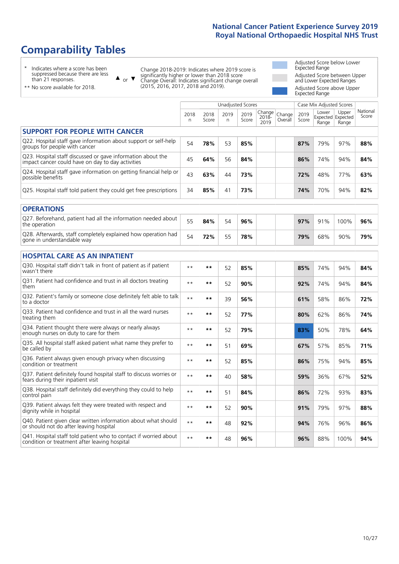# **Comparability Tables**

\* Indicates where a score has been suppressed because there are less than 21 responses.

\*\* No score available for 2018.

 $\triangle$  or  $\nabla$ 

Change 2018-2019: Indicates where 2019 score is significantly higher or lower than 2018 score Change Overall: Indicates significant change overall (2015, 2016, 2017, 2018 and 2019).

Adjusted Score below Lower Expected Range Adjusted Score between Upper and Lower Expected Ranges Adjusted Score above Upper Expected Range

|                                                                                                                   |           |               | <b>Unadjusted Scores</b> |               |                         |                   |               | Case Mix Adjusted Scores |                                     |                   |
|-------------------------------------------------------------------------------------------------------------------|-----------|---------------|--------------------------|---------------|-------------------------|-------------------|---------------|--------------------------|-------------------------------------|-------------------|
|                                                                                                                   | 2018<br>n | 2018<br>Score | 2019<br>n                | 2019<br>Score | Change<br>2018-<br>2019 | Change<br>Overall | 2019<br>Score | Lower<br>Range           | Upper<br>Expected Expected<br>Range | National<br>Score |
| <b>SUPPORT FOR PEOPLE WITH CANCER</b>                                                                             |           |               |                          |               |                         |                   |               |                          |                                     |                   |
| Q22. Hospital staff gave information about support or self-help<br>groups for people with cancer                  | 54        | 78%           | 53                       | 85%           |                         |                   | 87%           | 79%                      | 97%                                 | 88%               |
| Q23. Hospital staff discussed or gave information about the<br>impact cancer could have on day to day activities  | 45        | 64%           | 56                       | 84%           |                         |                   | 86%           | 74%                      | 94%                                 | 84%               |
| Q24. Hospital staff gave information on getting financial help or<br>possible benefits                            | 43        | 63%           | 44                       | 73%           |                         |                   | 72%           | 48%                      | 77%                                 | 63%               |
| Q25. Hospital staff told patient they could get free prescriptions                                                | 34        | 85%           | 41                       | 73%           |                         |                   | 74%           | 70%                      | 94%                                 | 82%               |
| <b>OPERATIONS</b>                                                                                                 |           |               |                          |               |                         |                   |               |                          |                                     |                   |
| Q27. Beforehand, patient had all the information needed about<br>the operation                                    | 55        | 84%           | 54                       | 96%           |                         |                   | 97%           | 91%                      | 100%                                | 96%               |
| Q28. Afterwards, staff completely explained how operation had<br>gone in understandable way                       | 54        | 72%           | 55                       | 78%           |                         |                   | 79%           | 68%                      | 90%                                 | 79%               |
| <b>HOSPITAL CARE AS AN INPATIENT</b>                                                                              |           |               |                          |               |                         |                   |               |                          |                                     |                   |
| Q30. Hospital staff didn't talk in front of patient as if patient<br>wasn't there                                 | $* *$     | $***$         | 52                       | 85%           |                         |                   | 85%           | 74%                      | 94%                                 | 84%               |
| Q31. Patient had confidence and trust in all doctors treating<br>them                                             | $* *$     | **            | 52                       | 90%           |                         |                   | 92%           | 74%                      | 94%                                 | 84%               |
| Q32. Patient's family or someone close definitely felt able to talk<br>to a doctor                                | $* *$     | $***$         | 39                       | 56%           |                         |                   | 61%           | 58%                      | 86%                                 | 72%               |
| O33. Patient had confidence and trust in all the ward nurses<br>treating them                                     | $* *$     | **            | 52                       | 77%           |                         |                   | 80%           | 62%                      | 86%                                 | 74%               |
| Q34. Patient thought there were always or nearly always<br>enough nurses on duty to care for them                 | $* *$     | $***$         | 52                       | 79%           |                         |                   | 83%           | 50%                      | 78%                                 | 64%               |
| Q35. All hospital staff asked patient what name they prefer to<br>be called by                                    | $* *$     | **            | 51                       | 69%           |                         |                   | 67%           | 57%                      | 85%                                 | 71%               |
| Q36. Patient always given enough privacy when discussing<br>condition or treatment                                | $* *$     | $***$         | 52                       | 85%           |                         |                   | 86%           | 75%                      | 94%                                 | 85%               |
| Q37. Patient definitely found hospital staff to discuss worries or<br>fears during their inpatient visit          | $* *$     | **            | 40                       | 58%           |                         |                   | 59%           | 36%                      | 67%                                 | 52%               |
| Q38. Hospital staff definitely did everything they could to help<br>control pain                                  | $* *$     | $***$         | 51                       | 84%           |                         |                   | 86%           | 72%                      | 93%                                 | 83%               |
| Q39. Patient always felt they were treated with respect and<br>dignity while in hospital                          | $* *$     | **            | 52                       | 90%           |                         |                   | 91%           | 79%                      | 97%                                 | 88%               |
| Q40. Patient given clear written information about what should<br>or should not do after leaving hospital         | $* *$     | $***$         | 48                       | 92%           |                         |                   | 94%           | 76%                      | 96%                                 | 86%               |
| Q41. Hospital staff told patient who to contact if worried about<br>condition or treatment after leaving hospital | $**$      | **            | 48                       | 96%           |                         |                   | 96%           | 88%                      | 100%                                | 94%               |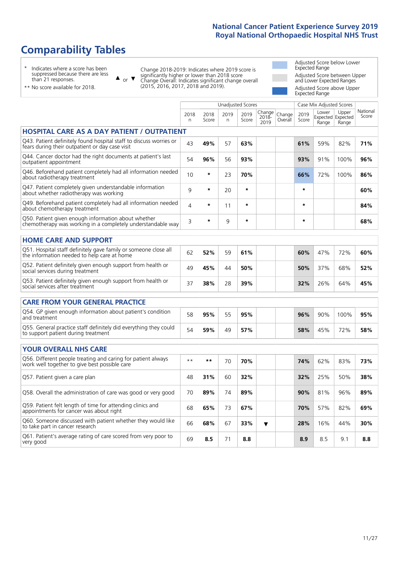Unadjusted Scores **Case Mix Adjusted Scores** 

# **Comparability Tables**

\* Indicates where a score has been suppressed because there are less than 21 responses.

or  $\blacktriangledown$  $\blacktriangle$ 

Change 2018-2019: Indicates where 2019 score is significantly higher or lower than 2018 score Change Overall: Indicates significant change overall (2015, 2016, 2017, 2018 and 2019).

Adjusted Score below Lower Expected Range Adjusted Score between Upper and Lower Expected Ranges Adjusted Score above Upper Expected Range

Upper

National

\*\* No score available for 2018.

|                                                                                                                       | 2018<br>n    | 2018<br>Score | 2019<br>n | 2019<br>Score | Change<br>2018-<br>2019 | Change<br>Overall | 2019<br>Score | Lower<br>Range | Upper<br>Expected Expected<br>Range | National<br>Score |
|-----------------------------------------------------------------------------------------------------------------------|--------------|---------------|-----------|---------------|-------------------------|-------------------|---------------|----------------|-------------------------------------|-------------------|
| <b>HOSPITAL CARE AS A DAY PATIENT / OUTPATIENT</b>                                                                    |              |               |           |               |                         |                   |               |                |                                     |                   |
| Q43. Patient definitely found hospital staff to discuss worries or<br>fears during their outpatient or day case visit | 43           | 49%           | 57        | 63%           |                         |                   | 61%           | 59%            | 82%                                 | 71%               |
| Q44. Cancer doctor had the right documents at patient's last<br>outpatient appointment                                | 54           | 96%           | 56        | 93%           |                         |                   | 93%           | 91%            | 100%                                | 96%               |
| Q46. Beforehand patient completely had all information needed<br>about radiotherapy treatment                         | 10           | $\star$       | 23        | 70%           |                         |                   | 66%           | 72%            | 100%                                | 86%               |
| Q47. Patient completely given understandable information<br>about whether radiotherapy was working                    | 9            | $\star$       | 20        | $\star$       |                         |                   | $\star$       |                |                                     | 60%               |
| Q49. Beforehand patient completely had all information needed<br>about chemotherapy treatment                         | 4            | $\star$       | 11        | $\star$       |                         |                   | $\star$       |                |                                     | 84%               |
| Q50. Patient given enough information about whether<br>chemotherapy was working in a completely understandable way    | 3            | $\star$       | 9         | $\star$       |                         |                   | $\star$       |                |                                     | 68%               |
| <b>HOME CARE AND SUPPORT</b>                                                                                          |              |               |           |               |                         |                   |               |                |                                     |                   |
| Q51. Hospital staff definitely gave family or someone close all<br>the information needed to help care at home        | 62           | 52%           | 59        | 61%           |                         |                   | 60%           | 47%            | 72%                                 | 60%               |
| Q52. Patient definitely given enough support from health or<br>social services during treatment                       | 49           | 45%           | 44        | 50%           |                         |                   | 50%           | 37%            | 68%                                 | 52%               |
| Q53. Patient definitely given enough support from health or<br>social services after treatment                        | 37           | 38%           | 28        | 39%           |                         |                   | 32%           | 26%            | 64%                                 | 45%               |
| <b>CARE FROM YOUR GENERAL PRACTICE</b>                                                                                |              |               |           |               |                         |                   |               |                |                                     |                   |
| Q54. GP given enough information about patient's condition<br>and treatment                                           | 58           | 95%           | 55        | 95%           |                         |                   | 96%           | 90%            | 100%                                | 95%               |
| Q55. General practice staff definitely did everything they could<br>to support patient during treatment               | 54           | 59%           | 49        | 57%           |                         |                   | 58%           | 45%            | 72%                                 | 58%               |
| <b>YOUR OVERALL NHS CARE</b>                                                                                          |              |               |           |               |                         |                   |               |                |                                     |                   |
| Q56. Different people treating and caring for patient always<br>work well together to give best possible care         | $\star\star$ | $***$         | 70        | 70%           |                         |                   | 74%           | 62%            | 83%                                 | 73%               |
| Q57. Patient given a care plan                                                                                        | 48           | 31%           | 60        | 32%           |                         |                   | 32%           | 25%            | 50%                                 | 38%               |
| Q58. Overall the administration of care was good or very good                                                         | 70           | 89%           | 74        | 89%           |                         |                   | 90%           | 81%            | 96%                                 | 89%               |
| Q59. Patient felt length of time for attending clinics and<br>appointments for cancer was about right                 | 68           | 65%           | 73        | 67%           |                         |                   | 70%           | 57%            | 82%                                 | 69%               |
| Q60. Someone discussed with patient whether they would like<br>to take part in cancer research                        | 66           | 68%           | 67        | 33%           | ▼                       |                   | 28%           | 16%            | 44%                                 | 30%               |
| Q61. Patient's average rating of care scored from very poor to<br>very good                                           | 69           | 8.5           | 71        | 8.8           |                         |                   | 8.9           | 8.5            | 9.1                                 | 8.8               |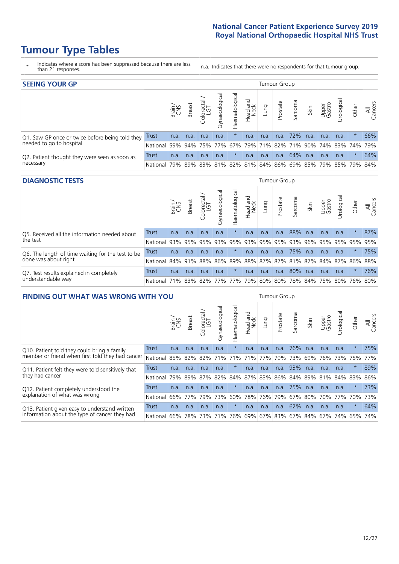# **Tumour Type Tables**

- \* Indicates where a score has been suppressed because there are less than 21 responses.
- n.a. Indicates that there were no respondents for that tumour group.

| <b>SEEING YOUR GP</b>                           |              |       |               |                   |                |                |                  |      | Tumour Group |         |      |                 |                                                     |         |                |
|-------------------------------------------------|--------------|-------|---------------|-------------------|----------------|----------------|------------------|------|--------------|---------|------|-----------------|-----------------------------------------------------|---------|----------------|
|                                                 |              | Brain | <b>Breast</b> | Colorectal<br>LGT | Gynaecological | Haematological | Head and<br>Neck | Dung | Prostate     | Sarcoma | Skin | Upper<br>Gastro | Jrological                                          | Other   | All<br>Cancers |
| Q1. Saw GP once or twice before being told they | <b>Trust</b> | n.a.  | n.a.          | n.a.              | n.a.           |                | n.a.             | n.a. | n.a.         | 72%     | n.a. | n.a.            | n.a.                                                | $\star$ | 66%            |
| needed to go to hospital                        | National     | 59%   |               |                   | $94\%$ 75% 77% |                |                  |      |              |         |      |                 | 67%   79%   71%   82%   71%   90%   74%   83%   74% |         | 79%            |
| Q2. Patient thought they were seen as soon as   | Trust        | n.a.  | n.a.          | n.a.              | n.a.           | $\ast$         | n.a.             | n.a. | n.a.         | 64%     | n.a. | n.a.            | n.a.                                                | $\star$ | 64%            |
| necessary                                       | National l   | 79%   |               |                   |                |                |                  |      |              |         |      |                 | 89% 83% 81% 82% 81% 84% 86% 69% 85% 79% 85% 79%     |         | 84%            |

### **DIAGNOSTIC TESTS** Tumour Group

|                                                   |                                                                  | Brain | Breast | Colorectal<br>LGT | Gynaecologica | Haematological | Head and<br>Neck | Lung | Prostate              | Sarcoma | Skin | Upper<br>Gastro | Jrological                                  | Other   | All<br>Cancers |
|---------------------------------------------------|------------------------------------------------------------------|-------|--------|-------------------|---------------|----------------|------------------|------|-----------------------|---------|------|-----------------|---------------------------------------------|---------|----------------|
| Q5. Received all the information needed about     | <b>Trust</b>                                                     | n.a.  | n.a.   | n.a.              | n.a.          |                | n.a.             | n.a. | n.a.                  | 88%     | n.a. | n.a.            | n.a.                                        | $\star$ | 87%            |
| the test                                          | National                                                         | 93%   | 95%    | 95%               | 93%           |                |                  |      | 95%   93%   95%   95% | 93%     | 96%  | 95%             | 95% 95%                                     |         | 95%            |
| Q6. The length of time waiting for the test to be | Trust                                                            | n.a.  | n.a.   | n.a.              | n.a.          | $\ast$         | n.a.             | n.a. | n.a.                  | 75%     | n.a. | n.a.            | n.a.                                        | $\star$ | 75%            |
| done was about right                              | National 84% 91%                                                 |       |        | 88%               |               |                |                  |      |                       |         |      |                 | 86% 89% 88% 87% 87% 81% 87% 84% 87% 86% 88% |         |                |
| Q7. Test results explained in completely          | <b>Trust</b>                                                     | n.a.  | n.a.   | n.a.              | n.a.          | $\star$        | n.a.             | n.a. | n.a.                  | 80%     | n.a. | n.a.            | n.a.                                        | $\star$ | 76%            |
| understandable way                                | National 71% 83% 82% 77% 77% 79% 80% 80% 78% 84% 75% 80% 76% 80% |       |        |                   |               |                |                  |      |                       |         |      |                 |                                             |         |                |

| <b>FINDING OUT WHAT WAS WRONG WITH YOU</b>        |              |       |               |                             |                |                |                        |      | <b>Tumour Group</b> |         |         |                 |                 |         |                |
|---------------------------------------------------|--------------|-------|---------------|-----------------------------|----------------|----------------|------------------------|------|---------------------|---------|---------|-----------------|-----------------|---------|----------------|
|                                                   |              | Brain | <b>Breast</b> | ╮<br>olorectal.<br>LGT<br>Ü | Gynaecological | Haematological | ad and<br>Neck<br>Head | Lung | Prostate            | Sarcoma | Skin    | Upper<br>Gastro | Jrological      | Other   | All<br>Cancers |
| Q10. Patient told they could bring a family       | Trust        | n.a.  | n.a.          | n.a.                        | n.a.           | $\ast$         | n.a.                   | n.a. | n.a.                | 76%     | n.a.    | n.a.            | n.a.            | $\star$ | 75%            |
| member or friend when first told they had cancer  | National     | 85%   | 82%           | 82%                         | 71%            | 71%            | 71%                    | 77%  | 79%                 | 73%     | 69%     | 76%             | 73%             | 75%     | 77%            |
| Q11. Patient felt they were told sensitively that | <b>Trust</b> | n.a.  | n.a.          | n.a.                        | n.a.           | $\ast$         | n.a.                   | n.a. | n.a.                | 93%     | n.a.    | n.a.            | n.a.            | $\star$ | 89%            |
| they had cancer                                   | National     | 79%   | 89% 87%       |                             | 82%            | 84% 87% 83%    |                        |      | 86% 84%             |         |         |                 | 89% 81% 84% 83% |         | 86%            |
| Q12. Patient completely understood the            | Trust        | n.a.  | n.a.          | n.a.                        | n.a.           | $^\star$       | n.a.                   | n.a. | n.a.                | 75%     | n.a.    | n.a.            | n.a.            | $\star$ | 73%            |
| explanation of what was wrong                     | National     | 66%   | 77%           | 79%                         | 73%            | 60%            | 78%                    | 76%  | 79%                 | 67%     | 80%     | 70%             | 77%             | 70%     | 73%            |
| Q13. Patient given easy to understand written     | Trust        | n.a.  | n.a.          | n.a.                        | n.a.           | $\ast$         | n.a.                   | n.a. | n.a.                | 62%     | n.a.    | n.a.            | n.a.            | $\star$ | 64%            |
| information about the type of cancer they had     | National     | 66%   | 78%           | 73%                         | 71%            |                |                        |      | 76% 69% 67% 83%     |         | 67% 84% |                 | 67%   74%       | 65%     | 74%            |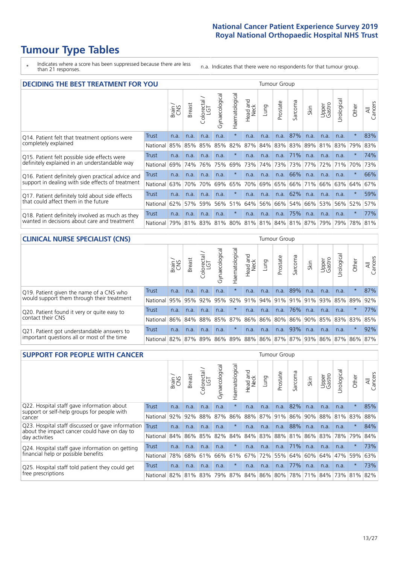# **Tumour Type Tables**

\* Indicates where a score has been suppressed because there are less than 21 responses.

n.a. Indicates that there were no respondents for that tumour group.

| <b>DECIDING THE BEST TREATMENT FOR YOU</b>         |          |       |               |                             |                |                |                         |      | Tumour Group |                                     |      |                 |            |         |                |
|----------------------------------------------------|----------|-------|---------------|-----------------------------|----------------|----------------|-------------------------|------|--------------|-------------------------------------|------|-----------------|------------|---------|----------------|
|                                                    |          | Brain | <b>Breast</b> | olorectal.<br>LGT<br>$\cup$ | Gynaecological | Haematological | ead and<br>Neck<br>Head | Lung | Prostate     | Sarcoma                             | Skin | Upper<br>Gastro | Jrological | Other   | All<br>Cancers |
| Q14. Patient felt that treatment options were      | Trust    | n.a.  | n.a.          | n.a.                        | n.a.           | $\star$        | n.a.                    | n.a. | n.a.         | 87%                                 | n.a. | n.a.            | n.a.       | $\star$ | 83%            |
| completely explained                               | National | 85%   | 85%           | 85%                         | 85%            | 82%            | 87%                     | 84%  |              | 83% 83% 89%                         |      | 81%             | 83%        | 79%     | 83%            |
| Q15. Patient felt possible side effects were       | Trust    | n.a.  | n.a.          | n.a.                        | n.a.           | $^\star$       | n.a.                    | n.a. | n.a.         | 71%                                 | n.a. | n.a.            | n.a.       | $\star$ | 74%            |
| definitely explained in an understandable way      | National | 69%   | 74%           | 76%                         | 75%            | 69%            | 73%                     | 74%  | 73%          | 73%                                 | 77%  | 72%             | 71%        | 70%     | 73%            |
| Q16. Patient definitely given practical advice and | Trust    | n.a.  | n.a.          | n.a.                        | n.a.           | $\star$        | n.a.                    | n.a. | n.a.         | 66%                                 | n.a. | n.a.            | n.a.       | $\star$ | 66%            |
| support in dealing with side effects of treatment  | National | 63%   | 70%           | 70%                         | 69%            | 65%            | 70%                     | 69%  | 65%          | 66%                                 | 71%  | 66%             | 63%        | 64%     | 67%            |
| Q17. Patient definitely told about side effects    | Trust    | n.a.  | n.a.          | n.a.                        | n.a.           | $\star$        | n.a.                    | n.a. | n.a.         | 62%                                 | n.a. | n.a.            | n.a.       | $\star$ | 59%            |
| that could affect them in the future               | National | 62%   | 57%           | 59%                         | 56%            | 51%            | 64%                     | 56%  | 66%          | 54%                                 | 66%  | 53%             | 56%        | 52%     | 57%            |
| Q18. Patient definitely involved as much as they   | Trust    | n.a.  | n.a.          | n.a.                        | n.a.           | $^\star$       | n.a.                    | n.a. | n.a.         | 75%                                 | n.a. | n.a.            | n.a.       | $\star$ | 77%            |
| wanted in decisions about care and treatment       | National | 79%   |               |                             |                |                |                         |      |              | 81% 83% 81% 80% 81% 81% 84% 81% 87% |      | 79%             | 79%        | 78%     | 81%            |

#### **CLINICAL NURSE SPECIALIST (CNS)** Tumour Group

|                                             |            | Brain | Breast      | olorectal<br>LGT<br>U | aecologica<br>$\tilde{\xi}$ | ᠊ᢛ<br>aematologic<br>T. | Head and<br>Neck | Frung | Prostate | Sarcoma | Skin | Upper<br>Gastro                         | σ<br>rologica | Other   | All<br>ancers<br>$\cup$ |
|---------------------------------------------|------------|-------|-------------|-----------------------|-----------------------------|-------------------------|------------------|-------|----------|---------|------|-----------------------------------------|---------------|---------|-------------------------|
| Q19. Patient given the name of a CNS who    | Trust      | n.a.  | n.a.        | n.a.                  | n.a.                        |                         | n.a.             | n.a.  | n.a.     | 89%     | n.a. | n.a.                                    | n.a.          |         | 87%                     |
| would support them through their treatment  | National   | 95%   |             | 95% 92%               | 95%                         |                         |                  |       |          |         |      | 92%   91%   94%   91%   91%   91%   93% | 85% 89%       |         | 92%                     |
| Q20. Patient found it very or quite easy to | Trust      | n.a.  | n.a.        | n.a.                  | n.a.                        | $\star$                 | n.a.             | n.a.  | n.a.     | 76%     | n.a. | n.a.                                    | n.a.          |         | 77%                     |
| contact their CNS                           | National   |       | 86% 84% 88% |                       | 85%                         | 87%                     |                  |       |          |         |      | 86% 86% 80% 86% 90% 85%                 |               | 83% 83% | 85%                     |
| Q21. Patient got understandable answers to  | Trust      | n.a.  | n.a.        | n.a.                  | n.a.                        | $\ast$                  | n.a.             | n.a.  | n.a.     | 93%     | n.a. | n.a.                                    | n.a.          | $\ast$  | 92%                     |
| important questions all or most of the time | National l |       | 82%   87%   | 89%                   | 86%                         |                         |                  |       |          |         |      | 89% 88% 86% 87% 87% 93% 86% 87% 86%     |               |         | 87%                     |

| <b>SUPPORT FOR PEOPLE WITH CANCER</b>                                                             |              |       |               |                            |                |                |                         |             | Tumour Group |         |             |                 |           |         |                |
|---------------------------------------------------------------------------------------------------|--------------|-------|---------------|----------------------------|----------------|----------------|-------------------------|-------------|--------------|---------|-------------|-----------------|-----------|---------|----------------|
|                                                                                                   |              | Brain | <b>Breast</b> | ╮<br>olorectal<br>LGT<br>Û | Gynaecological | Haematological | ead and<br>Neck<br>Head | <b>Lung</b> | Prostate     | Sarcoma | Skin        | Upper<br>Gastro | Urologica | Other   | All<br>Cancers |
| Q22. Hospital staff gave information about<br>support or self-help groups for people with         | <b>Trust</b> | n.a.  | n.a.          | n.a.                       | n.a.           | $\star$        | n.a.                    | n.a.        | n.a.         | 82%     | n.a.        | n.a.            | n.a.      | $\star$ | 85%            |
| cancer                                                                                            | National     | 92%   | 92%           | 88%                        | 87%            | 86%            | 88%                     | 87%         | 91%          | 86%     | 90%         | 88%             | 81%       | 83%     | 88%            |
| Q23. Hospital staff discussed or gave information<br>about the impact cancer could have on day to | Trust        | n.a.  | n.a.          | n.a.                       | n.a.           | $^\star$       | n.a.                    | n.a.        | n.a.         | 88%     | n.a.        | n.a.            | n.a.      | $\star$ | 84%            |
| day activities                                                                                    | National     | 84%∣  |               | 86% 85%                    | 82%            | 84%            | 84%                     | 83%         |              |         | 88% 81% 86% | 83%             | 78%       | 79%     | 84%            |
| Q24. Hospital staff gave information on getting                                                   | Trust        | n.a.  | n.a.          | n.a.                       | n.a.           | $\star$        | n.a.                    | n.a.        | n.a.         | 71%     | n.a.        | n.a.            | n.a.      | $\star$ | 73%            |
| financial help or possible benefits                                                               | National     | 78%   | 68%           | 61%                        | 66%            | 61%            | 67%                     | 72%         | 55%          | 64%     | 60%         | 64%             | 47%       | 59%     | 63%            |
| Q25. Hospital staff told patient they could get                                                   | Trust        | n.a.  | n.a.          | n.a.                       | n.a.           | $\star$        | n.a.                    | n.a.        | n.a.         | 77%     | n.a.        | n.a.            | n.a.      | $\star$ | 73%            |
| free prescriptions                                                                                | National     | 82%   |               | 81% 83%                    | 79%            | 87%            |                         |             | 84% 86% 80%  |         | 78% 71%     | 84%             | 73%       | 81%     | 82%            |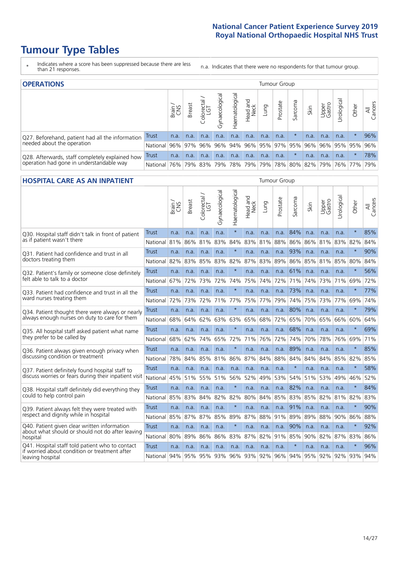# **Tumour Type Tables**

- \* Indicates where a score has been suppressed because there are less than 21 responses.
- n.a. Indicates that there were no respondents for that tumour group.

| <b>OPERATIONS</b>                                |              |       |               |            |                   |                |                             |             | Tumour Group |         |      |                     |                                  |             |                |
|--------------------------------------------------|--------------|-------|---------------|------------|-------------------|----------------|-----------------------------|-------------|--------------|---------|------|---------------------|----------------------------------|-------------|----------------|
|                                                  |              | Brain | <b>Breast</b> | Colorectal | ল<br>Gynaecologic | Haematological | Head and<br>Neck            | <b>Dung</b> | Prostate     | Sarcoma | Skin | Upper<br>Gastro     | $\overline{\sigma}$<br>Jrologica | Other       | All<br>Cancers |
| Q27. Beforehand, patient had all the information | <b>Trust</b> | n.a.  | n.a.          | n.a.       | n.a.              | n.a.           | n.a.                        | n.a.        | n.a.         |         | n.a. | n.a.                | n.a.                             |             | 96%            |
| needed about the operation                       | National     | 96%   |               | 97% 96%    |                   |                | 96% 94% 96% 95% 97% 95% 96% |             |              |         |      |                     |                                  | 96% 95% 95% | 96%            |
| Q28. Afterwards, staff completely explained how  | Trust        | n.a.  | n.a.          | n.a.       | n.a.              | n.a.           | n.a.                        | n.a.        | n.a.         |         | n.a. | n.a.                | n.a.                             | $\star$     | 78%            |
| operation had gone in understandable way         | National     | 76%   |               | 79% 83%    |                   |                | 79% 78% 79%                 |             |              |         |      | 79% 78% 80% 82% 79% |                                  | 76%   77%   | 79%            |

#### **HOSPITAL CARE AS AN INPATIENT** Tumour Group

|                                                                                                   |              | Brain | <b>Breast</b> | Colorectal /<br>LGT | Gynaecological | Haematological | Head and<br>Neck | Lung        | Prostate | Sarcoma | Skin | Upper<br>Gastro | Urological  | Other   | Cancers<br>$\overline{\overline{\mathbf{z}}}$ |
|---------------------------------------------------------------------------------------------------|--------------|-------|---------------|---------------------|----------------|----------------|------------------|-------------|----------|---------|------|-----------------|-------------|---------|-----------------------------------------------|
| Q30. Hospital staff didn't talk in front of patient                                               | Trust        | n.a.  | n.a.          | n.a.                | n.a.           | $\star$        | n.a.             | n.a.        | n.a.     | 84%     | n.a. | n.a.            | n.a.        | $\star$ | 85%                                           |
| as if patient wasn't there                                                                        | National     | 81%   | 86%           | 81%                 | 83%            | 84%            | 83%              | 81%         | 88%      | 86%     | 86%  | 81%             | 83%         | 82%     | 84%                                           |
| Q31. Patient had confidence and trust in all                                                      | <b>Trust</b> | n.a.  | n.a.          | n.a.                | n.a.           | $\star$        | n.a.             | n.a.        | n.a.     | 93%     | n.a. | n.a.            | n.a.        | $\star$ | 90%                                           |
| doctors treating them                                                                             | National     | 82%   | 83%           | 85%                 | 83%            | 82%            | 87%              | 83%         | 89%      | 86%     | 85%  | 81%             | 85%         | 80%     | 84%                                           |
| Q32. Patient's family or someone close definitely                                                 | <b>Trust</b> | n.a.  | n.a.          | n.a.                | n.a.           | $\star$        | n.a.             | n.a.        | n.a.     | 61%     | n.a. | n.a.            | n.a.        | $\star$ | 56%                                           |
| felt able to talk to a doctor                                                                     | National     | 67%   | 72%           | 73%                 | 72%            | 74%            | 75%              | 74%         | 72%      | 71%     | 74%  | 73%             | 71%         | 69%     | 72%                                           |
| Q33. Patient had confidence and trust in all the                                                  | <b>Trust</b> | n.a.  | n.a.          | n.a.                | n.a.           | $\star$        | n.a.             | n.a.        | n.a.     | 73%     | n.a. | n.a.            | n.a.        | $\ast$  | 77%                                           |
| ward nurses treating them                                                                         | National     | 72%   | 73%           | 72%                 | 71%            | 77%            | 75%              | 77%         | 79%      | 74%     | 75%  | 73%             | 77%         | 69%     | 74%                                           |
| Q34. Patient thought there were always or nearly<br>always enough nurses on duty to care for them | <b>Trust</b> | n.a.  | n.a.          | n.a.                | n.a.           | $\star$        | n.a.             | n.a.        | n.a.     | 80%     | n.a. | n.a.            | n.a.        | $\star$ | 79%                                           |
|                                                                                                   | National     | 68%   | 64%           | 62%                 | 63%            | 63%            | 65%              | 68%         | 72%      | 65%     | 70%  | 65%             | 66%         | 60%     | 64%                                           |
| Q35. All hospital staff asked patient what name                                                   | <b>Trust</b> | n.a.  | n.a.          | n.a.                | n.a.           | $\star$        | n.a.             | n.a.        | n.a.     | 68%     | n.a. | n.a.            | n.a.        | $\star$ | 69%                                           |
| they prefer to be called by                                                                       | National     | 68%   | 62%           | 74%                 | 65%            | 72%            | 71%              | 76%         | 72%      | 74%     | 70%  | 78%             | 76%         | 69%     | 71%                                           |
| Q36. Patient always given enough privacy when                                                     | Trust        | n.a.  | n.a.          | n.a.                | n.a.           | $\star$        | n.a.             | n.a.        | n.a.     | 89%     | n.a. | n.a.            | n.a.        | $\ast$  | 85%                                           |
| discussing condition or treatment                                                                 | National     | 78%   | 84%           | 85%                 | 81%            | 86%            | 87%              | 84%         | 88%      | 84%     | 84%  | 84%             | 85%         | 82%     | 85%                                           |
| Q37. Patient definitely found hospital staff to                                                   | <b>Trust</b> | n.a.  | n.a.          | n.a.                | n.a.           | n.a.           | n.a.             | n.a.        | n.a.     | $\star$ | n.a. | n.a.            | n.a.        | $\star$ | 58%                                           |
| discuss worries or fears during their inpatient visit                                             | National     | 45%   | 51%           | 55%                 | 51%            | 56%            | 52%              | 49%         | 53%      | 54%     | 51%  | 53%             | 49%         | 46%     | 52%                                           |
| Q38. Hospital staff definitely did everything they                                                | <b>Trust</b> | n.a.  | n.a.          | n.a.                | n.a.           | $\star$        | n.a.             | n.a.        | n.a.     | 82%     | n.a. | n.a.            | n.a.        | $\star$ | 84%                                           |
| could to help control pain                                                                        | National     | 85%   | 83%           | 84%                 | 82%            | 82%            | 80%              | 84%         | 85%      | 83%     | 85%  | 82%             | 81%         | 82%     | 83%                                           |
| Q39. Patient always felt they were treated with                                                   | <b>Trust</b> | n.a.  | n.a.          | n.a.                | n.a.           | $\star$        | n.a.             | n.a.        | n.a.     | 91%     | n.a. | n.a.            | n.a.        | $\star$ | 90%                                           |
| respect and dignity while in hospital                                                             | National     | 85%   | 87%           | 87%                 | 85%            | 89%            | 87%              | 88%         | 91%      | 89%     | 89%  | 88%             | 90%         | 86%     | 88%                                           |
| Q40. Patient given clear written information<br>about what should or should not do after leaving  | Trust        | n.a.  | n.a.          | n.a.                | n.a.           | $\star$        | n.a.             | n.a.        | n.a.     | 90%     | n.a. | n.a.            | n.a.        | $\star$ | 92%                                           |
| hospital                                                                                          | National     | 80%   | 89%           | 86%                 | 86%            | 83%            | 87%              | 82%         | 91%      | 85%     | 90%  | 82%             | 87%         | 83%     | 86%                                           |
| Q41. Hospital staff told patient who to contact<br>if worried about condition or treatment after  | <b>Trust</b> | n.a.  | n.a.          | n.a.                | n.a.           | n.a.           | n.a.             | n.a.        | n.a.     | $\star$ | n.a. | n.a.            | n.a.        | $\star$ | 96%                                           |
| leaving hospital                                                                                  | National     | 94%   | 95%           |                     | 95% 93%        |                |                  | 96% 93% 92% |          | 96% 94% |      |                 | 95% 92% 92% | 93%     | 94%                                           |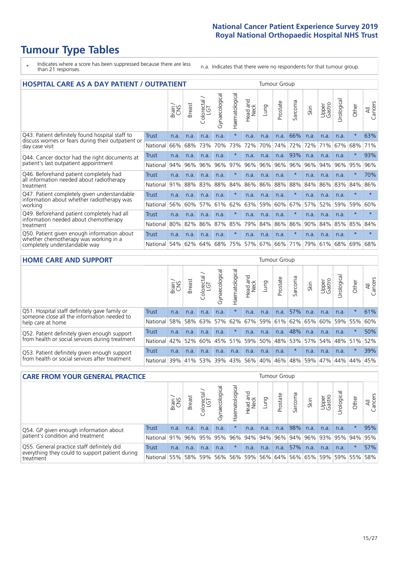# **Tumour Type Tables**

- \* Indicates where a score has been suppressed because there are less than 21 responses.
- n.a. Indicates that there were no respondents for that tumour group.

| <b>HOSPITAL CARE AS A DAY PATIENT / OUTPATIENT</b>                                     |              |       |               |                              |                |                |                         |         | <b>Tumour Group</b> |         |      |                 |            |         |                |
|----------------------------------------------------------------------------------------|--------------|-------|---------------|------------------------------|----------------|----------------|-------------------------|---------|---------------------|---------|------|-----------------|------------|---------|----------------|
|                                                                                        |              | Brain | <b>Breast</b> | olorectal /<br>LGT<br>$\cup$ | Gynaecological | Haematological | aad and<br>Neck<br>Head | Lung    | Prostate            | Sarcoma | Skin | Upper<br>Gastro | Urological | Other   | All<br>Cancers |
| Q43. Patient definitely found hospital staff to                                        | <b>Trust</b> | n.a.  | n.a.          | n.a.                         | n.a.           | $\star$        | n.a.                    | n.a.    | n.a.                | 66%     | n.a. | n.a.            | n.a.       | $\star$ | 63%            |
| discuss worries or fears during their outpatient or<br>day case visit                  | National     | 66%   | 68%           | 73%                          | 70%            | 73%            | 72%                     | 70%     | 74%                 | 72%     | 72%  | 71%             | 67%        | 68%     | 71%            |
| Q44. Cancer doctor had the right documents at<br>patient's last outpatient appointment | Trust        | n.a.  | n.a.          | n.a.                         | n.a.           |                | n.a.                    | n.a.    | n.a.                | 93%     | n.a. | n.a.            | n.a.       | $\ast$  | 93%            |
|                                                                                        | National     | 94%   | 96%           | 96%                          | 96%            | 97%            | 96%                     | 96%     | 96%                 | 96%     | 96%  | 94%             | 96%        | 95%     | 96%            |
| Q46. Beforehand patient completely had                                                 | Trust        | n.a.  | n.a.          | n.a.                         | n.a.           | $\star$        | n.a.                    | n.a.    | n.a.                | $\star$ | n.a. | n.a.            | n.a.       | $\star$ | 70%            |
| all information needed about radiotherapy<br>treatment                                 | National     | 91%   | 88%           | 83%                          | 88%            | 84%            | 86%                     | 86%     | 88%                 | 88%     | 84%  | 86%             | 83%        | 84%     | 86%            |
| Q47. Patient completely given understandable                                           | Trust        | n.a.  | n.a.          | n.a.                         | n.a.           | $\ast$         | n.a.                    | n.a.    | n.a.                | $\star$ | n.a. | n.a.            | n.a.       | $\star$ | $\star$        |
| information about whether radiotherapy was<br>working                                  | National     | 56%   | 60%           | 57%                          | 61%            | 62%            | 63%                     | 59%     | 60%                 | 67%     | 57%  | 52%             | 59%        | 59%     | 60%            |
| Q49. Beforehand patient completely had all                                             | Trust        | n.a.  | n.a.          | n.a.                         | n.a.           |                | n.a.                    | n.a.    | n.a.                | $\ast$  | n.a. | n.a.            | n.a.       | $\star$ | $\star$        |
| information needed about chemotherapy<br>treatment                                     | National     | 80%   | 82%           | 86%                          | 87%            | 85%            | 79%                     | 84%     | 86%                 | 86%     | 90%  | 84%             | 85%        | 85%     | 84%            |
| Q50. Patient given enough information about                                            | Trust        | n.a.  | n.a.          | n.a.                         | n.a.           | $\star$        | n.a.                    | n.a.    | n.a.                | $\ast$  | n.a. | n.a.            | n.a.       | $\star$ | $\star$        |
| whether chemotherapy was working in a<br>completely understandable way                 | National     | 54%   | 62%           | 64%                          | 68%            | 75%            |                         | 57% 67% | 66%                 | 71%     | 79%  | 61%             | 68%        | 69%     | 68%            |

### **HOME CARE AND SUPPORT** Tumour Group

|              | Brain | Breast | Colorectal<br>LGT          | त्त<br>Gynaecologic       | Haematological |      | Dung               | Prostate         | Sarcoma            | Skin |         | Urological                                                                   | Other      | All<br>Cancers                       |
|--------------|-------|--------|----------------------------|---------------------------|----------------|------|--------------------|------------------|--------------------|------|---------|------------------------------------------------------------------------------|------------|--------------------------------------|
| <b>Trust</b> | n.a.  | n.a.   | n.a.                       | n.a.                      | $\ast$         | n.a. | n.a.               | n.a.             | 57%                | n.a. | n.a.    | n.a.                                                                         | $\star$    | 61%                                  |
| National     |       |        |                            |                           |                |      |                    |                  |                    |      |         |                                                                              |            | 60%                                  |
| Trust        | n.a.  | n.a.   | n.a.                       | n.a.                      |                | n.a. | n.a.               | n.a.             | 48%                | n.a. | n.a.    | n.a.                                                                         | $\star$    | 50%                                  |
| National     |       |        | 60%                        |                           |                |      |                    |                  |                    |      |         |                                                                              |            | 52%                                  |
| Trust        | n.a.  | n.a.   | n.a.                       | n.a.                      | n.a.           | n.a. | n.a.               | n.a.             |                    | n.a. | n.a.    | n.a.                                                                         | $\star$    | 39%                                  |
|              |       |        |                            | 39%                       |                |      |                    | 46%              |                    |      |         |                                                                              |            | 45%                                  |
|              |       |        | 58%<br>42%<br>National 39% | 58% 63%<br>52%<br>41% 53% |                | 57%  | 45%   51%  <br>43% | Head and<br>Neck | 59% 50%<br>56% 40% |      | 48% 59% | Upper<br>Gastro<br>  62%   67%   59%   61%   62%   65%  <br> 48%   53%   57% | 60%<br>47% | 59% 55%<br>54% 48% 51%<br>44%<br>44% |

| <b>CARE FROM YOUR GENERAL PRACTICE</b>                                                        |              |        |               |                        |               |                   |                     |      | Tumour Group |         |      |                 |                                                                 |         |                |
|-----------------------------------------------------------------------------------------------|--------------|--------|---------------|------------------------|---------------|-------------------|---------------------|------|--------------|---------|------|-----------------|-----------------------------------------------------------------|---------|----------------|
|                                                                                               |              | Brain, | <b>Breast</b> | ー<br>Colorectal<br>LGT | Gynaecologica | σ<br>Haematologic | Head and<br>Neck    | Lung | Prostate     | Sarcoma | Skin | Upper<br>Gastro | ъ<br>Urologica                                                  | Other   | All<br>Cancers |
| Q54. GP given enough information about                                                        | Trust        | n.a.   | n.a.          | n.a.                   | n.a.          |                   | n.a.                | n.a. | n.a.         | 98%     | n.a. | n.a.            | n.a.                                                            | $\ast$  | 95%            |
| patient's condition and treatment                                                             | National 91% |        |               | 96% 95%                | 95%           | 96%               | 94% 94% 96% 94% 96% |      |              |         |      |                 | 93% 95% 94%                                                     |         | 95%            |
| Q55. General practice staff definitely did<br>everything they could to support patient during | Trust        | n.a.   | n.a.          | n.a.                   | n.a.          |                   | n.a.                | n.a. | n.a.         | 57%     | n.a. | n.a.            | n.a.                                                            | $\star$ | 57%            |
| treatment                                                                                     | National 55% |        |               | 58% 59%                |               |                   |                     |      |              |         |      |                 | 56%   56%   59%   56%   64%   56%   65%   59%   59%   55%   58% |         |                |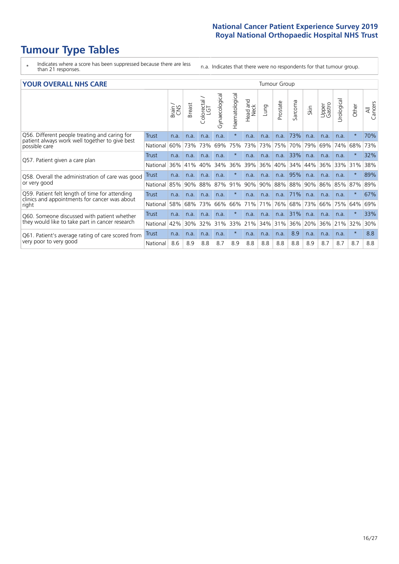# **Tumour Type Tables**

\* Indicates where a score has been suppressed because there are less than 21 responses.

n.a. Indicates that there were no respondents for that tumour group.

| <b>YOUR OVERALL NHS CARE</b>                                    |          |       |        |                                     |                |                | Tumour Group               |      |          |         |      |                 |            |         |                |  |
|-----------------------------------------------------------------|----------|-------|--------|-------------------------------------|----------------|----------------|----------------------------|------|----------|---------|------|-----------------|------------|---------|----------------|--|
|                                                                 |          | Brain | Breast | $\frac{\text{Colored}}{\text{LGT}}$ | Gynaecological | Haematological | and<br><b>Neck</b><br>Head | Lung | Prostate | Sarcoma | Skin | Upper<br>Gastro | Urological | Other   | All<br>Cancers |  |
| Q56. Different people treating and caring for                   | Trust    | n.a.  | n.a.   | n.a.                                | n.a.           | $\star$        | n.a.                       | n.a. | n.a.     | 73%     | n.a. | n.a.            | n.a.       | $\star$ | 70%            |  |
| patient always work well together to give best<br>possible care | National | 60%   | 73%    | 73%                                 | 69%            | 75%            | 73%                        | 73%  | 75%      | 70%     | 79%  | 69%             | 74%        | 68%     | 73%            |  |
|                                                                 | Trust    | n.a.  | n.a.   | n.a.                                | n.a.           |                | n.a.                       | n.a. | n.a.     | 33%     | n.a. | n.a.            | n.a.       | $\ast$  | 32%            |  |
| Q57. Patient given a care plan                                  | National | 36%   | 41%    | 40%                                 | 34%            | 36%            | 39%                        | 36%  | 40%      | 34%     | 44%  | 36%             | 33%        | 31%     | 38%            |  |
| Q58. Overall the administration of care was good                | Trust    | n.a.  | n.a.   | n.a.                                | n.a.           |                | n.a.                       | n.a. | n.a.     | 95%     | n.a. | n.a.            | n.a.       | $\star$ | 89%            |  |
| or very good                                                    | National | 85%   | 90%    | 88%                                 | 87%            | 91%            | 90%                        | 90%  | 88%      | 88%     | 90%  | 86%             | 85%        | 87%     | 89%            |  |
| Q59. Patient felt length of time for attending                  | Trust    | n.a.  | n.a.   | n.a.                                | n.a.           | $^\star$       | n.a.                       | n.a. | n.a.     | 71%     | n.a. | n.a.            | n.a.       | $\ast$  | 67%            |  |
| clinics and appointments for cancer was about<br>right          | National | 58%   | 68%    | 73%                                 | 66%            | 66%            | 71%                        | 71%  | 76%      | 68%     | 73%  | 66%             | 75%        | 64%     | 69%            |  |
| Q60. Someone discussed with patient whether                     | Trust    | n.a.  | n.a.   | n.a.                                | n.a.           | $\star$        | n.a.                       | n.a. | n.a.     | 31%     | n.a. | n.a.            | n.a.       | $\ast$  | 33%            |  |
| they would like to take part in cancer research                 | National | 42%   | 30%    | 32%                                 | 31%            | 33%            | 21%                        | 34%  | 31%      | 36%     | 20%  | 36%             | 21%        | 32%     | 30%            |  |
| Q61. Patient's average rating of care scored from               | Trust    | n.a.  | n.a.   | n.a.                                | n.a.           | $\star$        | n.a.                       | n.a. | n.a.     | 8.9     | n.a. | n.a.            | n.a.       | $\star$ | 8.8            |  |
| very poor to very good                                          | National | 8.6   | 8.9    | 8.8                                 | 8.7            | 8.9            | 8.8                        | 8.8  | 8.8      | 8.8     | 8.9  | 8.7             | 8.7        | 8.7     | 8.8            |  |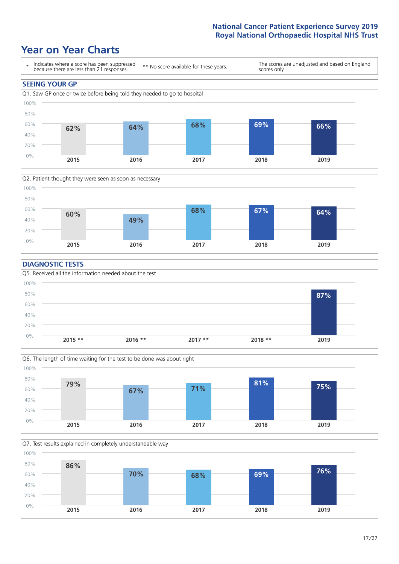### **Year on Year Charts**





### **DIAGNOSTIC TESTS**





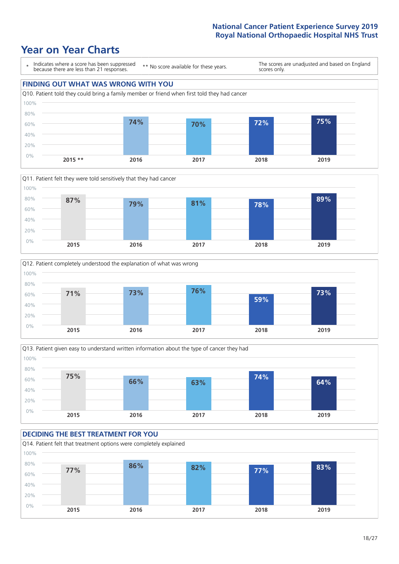







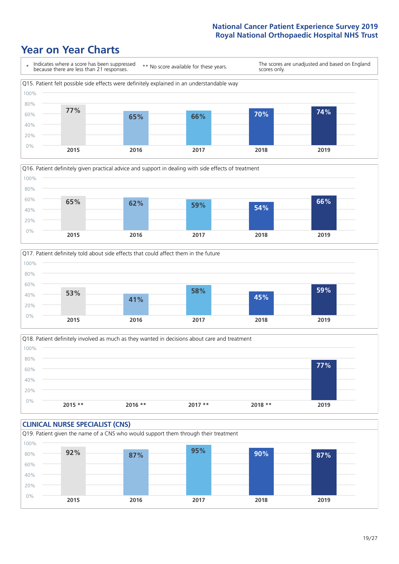





Q18. Patient definitely involved as much as they wanted in decisions about care and treatment  $0%$ 20% 40% 60% 80% 100% **2015 \*\* 2016 \*\* 2017 \*\* 2018 \*\* 2019 77%**

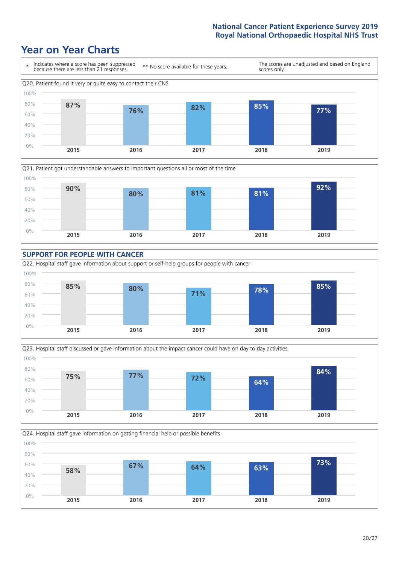









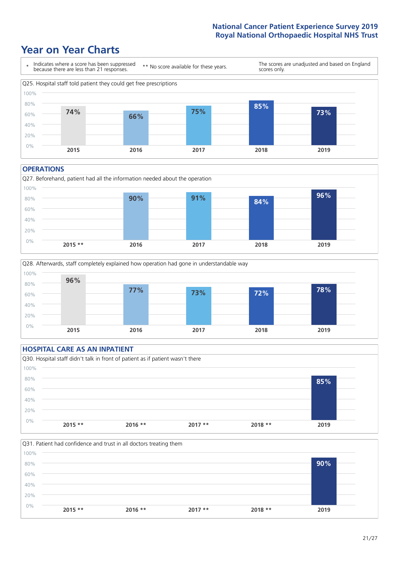### **Year on Year Charts**



#### **OPERATIONS**





### **HOSPITAL CARE AS AN INPATIENT** Q30. Hospital staff didn't talk in front of patient as if patient wasn't there 0% 20% 40% 60% 80% 100% **2015 \*\* 2016 \*\* 2017 \*\* 2018 \*\* 2019 85%**

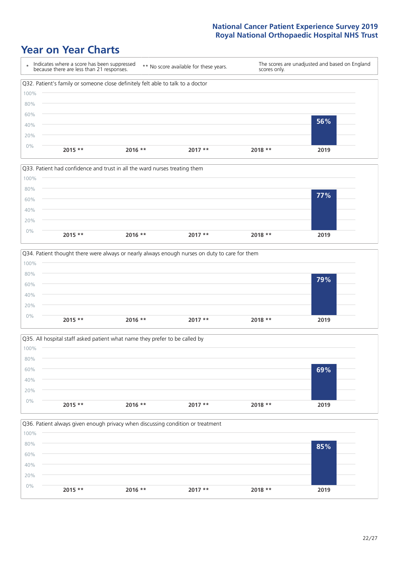







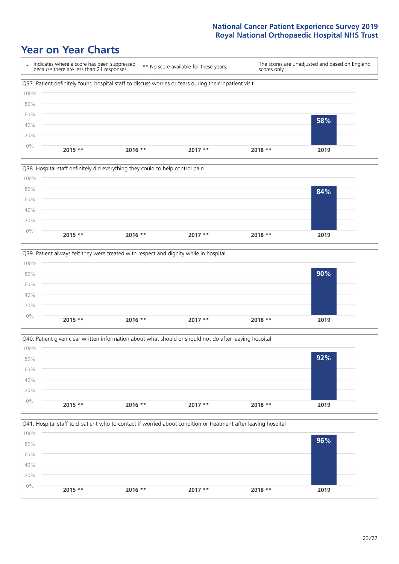







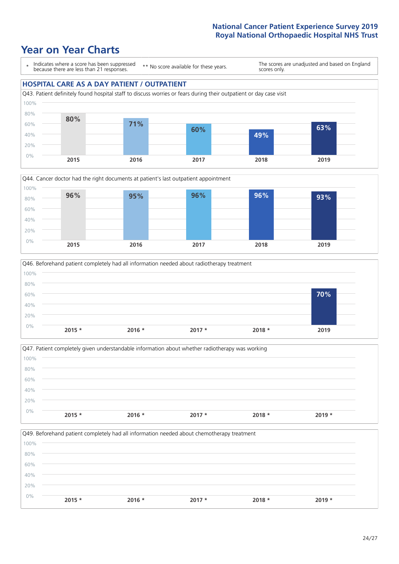### **Year on Year Charts**

\* Indicates where a score has been suppressed because there are less than 21 responses.

\*\* No score available for these years.

The scores are unadjusted and based on England scores only.

### **HOSPITAL CARE AS A DAY PATIENT / OUTPATIENT**







|       | Q47. Patient completely given understandable information about whether radiotherapy was working |          |          |          |          |
|-------|-------------------------------------------------------------------------------------------------|----------|----------|----------|----------|
| 100%  |                                                                                                 |          |          |          |          |
| 80%   |                                                                                                 |          |          |          |          |
| 60%   |                                                                                                 |          |          |          |          |
| 40%   |                                                                                                 |          |          |          |          |
| 20%   |                                                                                                 |          |          |          |          |
| $0\%$ | $2015 *$                                                                                        | $2016 *$ | $2017 *$ | $2018 *$ | $2019 *$ |

Q49. Beforehand patient completely had all information needed about chemotherapy treatment 0% 20% 40% 60% 80% 100% **2015 \* 2016 \* 2017 \* 2018 \* 2019 \***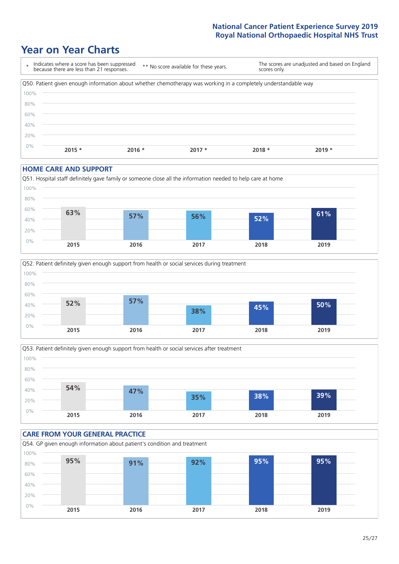### **Year on Year Charts**



#### **HOME CARE AND SUPPORT**







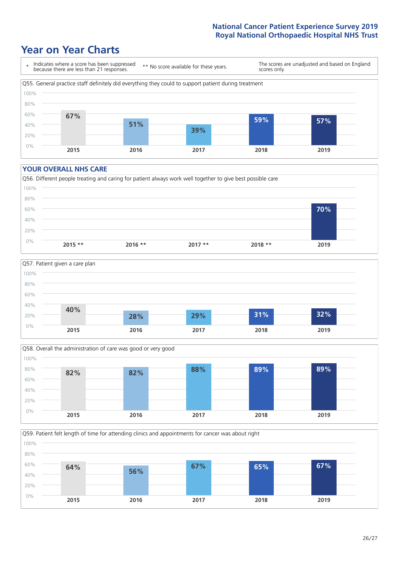### **Year on Year Charts**



#### **YOUR OVERALL NHS CARE**







Q59. Patient felt length of time for attending clinics and appointments for cancer was about right